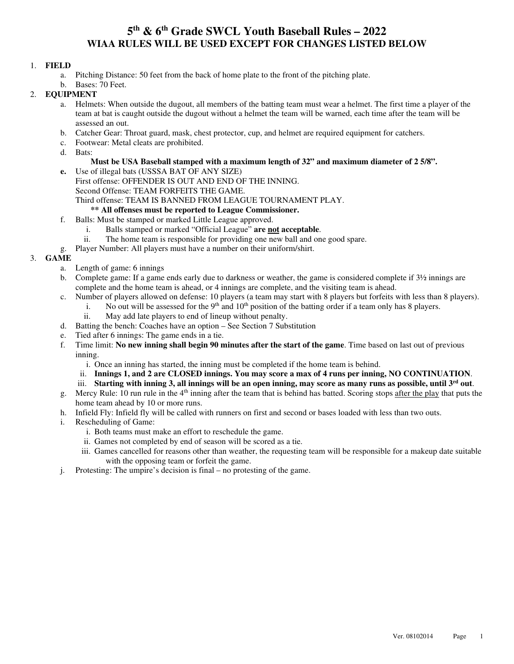### 1. **FIELD**

- a. Pitching Distance: 50 feet from the back of home plate to the front of the pitching plate.
- b. Bases: 70 Feet.

#### 2. **EQUIPMENT**

- a. Helmets: When outside the dugout, all members of the batting team must wear a helmet. The first time a player of the team at bat is caught outside the dugout without a helmet the team will be warned, each time after the team will be assessed an out.
- b. Catcher Gear: Throat guard, mask, chest protector, cup, and helmet are required equipment for catchers.
- c. Footwear: Metal cleats are prohibited.
- d. Bats:

#### **Must be USA Baseball stamped with a maximum length of 32" and maximum diameter of 2 5/8".**

- **e.** Use of illegal bats (USSSA BAT OF ANY SIZE) First offense: OFFENDER IS OUT AND END OF THE INNING.
	- Second Offense: TEAM FORFEITS THE GAME.

Third offense: TEAM IS BANNED FROM LEAGUE TOURNAMENT PLAY.

### **\*\* All offenses must be reported to League Commissioner.**

- f. Balls: Must be stamped or marked Little League approved.
	- i. Balls stamped or marked "Official League" **are not acceptable**.
	- ii. The home team is responsible for providing one new ball and one good spare.

g. Player Number: All players must have a number on their uniform/shirt.

### 3. **GAME**

- a. Length of game: 6 innings
- b. Complete game: If a game ends early due to darkness or weather, the game is considered complete if 3½ innings are complete and the home team is ahead, or 4 innings are complete, and the visiting team is ahead.
- c. Number of players allowed on defense: 10 players (a team may start with 8 players but forfeits with less than 8 players).
	- i. No out will be assessed for the 9<sup>th</sup> and 10<sup>th</sup> position of the batting order if a team only has 8 players.
		- ii. May add late players to end of lineup without penalty.
- d. Batting the bench: Coaches have an option See Section 7 Substitution
- e. Tied after 6 innings: The game ends in a tie.
- f. Time limit: **No new inning shall begin 90 minutes after the start of the game**. Time based on last out of previous inning.
	- i. Once an inning has started, the inning must be completed if the home team is behind.
	- ii. **Innings 1, and 2 are CLOSED innings. You may score a max of 4 runs per inning, NO CONTINUATION**.
	- iii. Starting with inning 3, all innings will be an open inning, may score as many runs as possible, until 3<sup>rd</sup> out.
- g. Mercy Rule: 10 run rule in the 4<sup>th</sup> inning after the team that is behind has batted. Scoring stops after the play that puts the home team ahead by 10 or more runs.
- h. Infield Fly: Infield fly will be called with runners on first and second or bases loaded with less than two outs.
- i. Rescheduling of Game:
	- i. Both teams must make an effort to reschedule the game.
	- ii. Games not completed by end of season will be scored as a tie.
	- iii. Games cancelled for reasons other than weather, the requesting team will be responsible for a makeup date suitable with the opposing team or forfeit the game.
- j. Protesting: The umpire's decision is final no protesting of the game.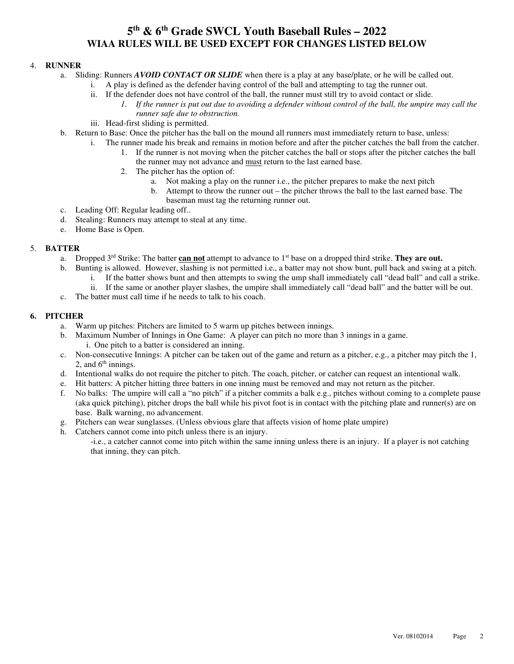#### 4. **RUNNER**

- a. Sliding: Runners *AVOID CONTACT OR SLIDE* when there is a play at any base/plate, or he will be called out.
	- i. A play is defined as the defender having control of the ball and attempting to tag the runner out.
	- ii. If the defender does not have control of the ball, the runner must still try to avoid contact or slide.
		- *1.* If the runner is put out due to avoiding a defender without control of the ball, the umpire may call the *runner safe due to obstruction.*
	- iii. Head-first sliding is permitted.
- b. Return to Base: Once the pitcher has the ball on the mound all runners must immediately return to base, unless:
	- i. The runner made his break and remains in motion before and after the pitcher catches the ball from the catcher.
		- 1. If the runner is not moving when the pitcher catches the ball or stops after the pitcher catches the ball
			- the runner may not advance and must return to the last earned base.
			- 2. The pitcher has the option of:
				- Not making a play on the runner i.e., the pitcher prepares to make the next pitch
				- b. Attempt to throw the runner out the pitcher throws the ball to the last earned base. The baseman must tag the returning runner out.
- c. Leading Off: Regular leading off..
- d. Stealing: Runners may attempt to steal at any time.
- e. Home Base is Open.

#### 5. **BATTER**

- a. Dropped 3rd Strike: The batter **can not** attempt to advance to 1st base on a dropped third strike. **They are out.**
- b. Bunting is allowed. However, slashing is not permitted i.e., a batter may not show bunt, pull back and swing at a pitch.
	- i. If the batter shows bunt and then attempts to swing the ump shall immediately call "dead ball" and call a strike.
	- ii. If the same or another player slashes, the umpire shall immediately call "dead ball" and the batter will be out.
- c. The batter must call time if he needs to talk to his coach.

#### **6. PITCHER**

- a. Warm up pitches: Pitchers are limited to 5 warm up pitches between innings.
- b. Maximum Number of Innings in One Game: A player can pitch no more than 3 innings in a game. i. One pitch to a batter is considered an inning.
- c. Non-consecutive Innings: A pitcher can be taken out of the game and return as a pitcher, e.g., a pitcher may pitch the 1, 2, and  $6<sup>th</sup>$  innings.
- d. Intentional walks do not require the pitcher to pitch. The coach, pitcher, or catcher can request an intentional walk.
- e. Hit batters: A pitcher hitting three batters in one inning must be removed and may not return as the pitcher.
- f. No balks: The umpire will call a "no pitch" if a pitcher commits a balk e.g., pitches without coming to a complete pause (aka quick pitching), pitcher drops the ball while his pivot foot is in contact with the pitching plate and runner(s) are on base. Balk warning, no advancement.
- g. Pitchers can wear sunglasses. (Unless obvious glare that affects vision of home plate umpire)
- h. Catchers cannot come into pitch unless there is an injury.

-i.e., a catcher cannot come into pitch within the same inning unless there is an injury. If a player is not catching that inning, they can pitch.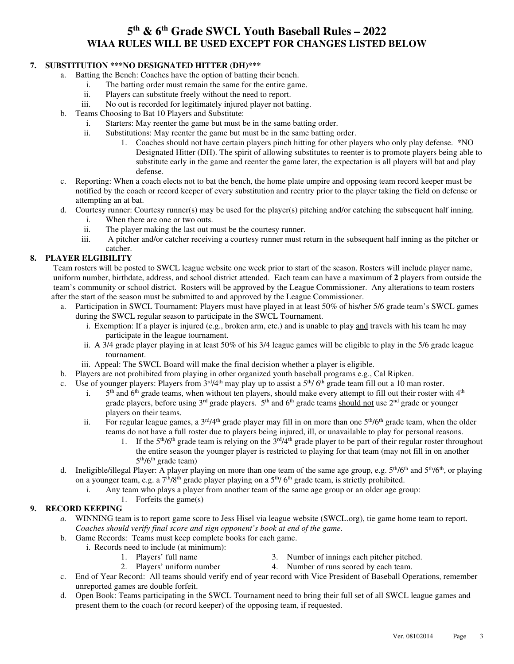## **7. SUBSTITUTION \*\*\*NO DESIGNATED HITTER (DH)\*\*\***

- a. Batting the Bench: Coaches have the option of batting their bench.
	- i. The batting order must remain the same for the entire game.<br>ii. Players can substitute freely without the need to report.
	- Players can substitute freely without the need to report.
	- iii. No out is recorded for legitimately injured player not batting.
- b. Teams Choosing to Bat 10 Players and Substitute:
	- i. Starters: May reenter the game but must be in the same batting order.
	- ii. Substitutions: May reenter the game but must be in the same batting order.
		- 1. Coaches should not have certain players pinch hitting for other players who only play defense. \*NO Designated Hitter (DH). The spirit of allowing substitutes to reenter is to promote players being able to substitute early in the game and reenter the game later, the expectation is all players will bat and play defense.
- c. Reporting: When a coach elects not to bat the bench, the home plate umpire and opposing team record keeper must be notified by the coach or record keeper of every substitution and reentry prior to the player taking the field on defense or attempting an at bat.
- d. Courtesy runner: Courtesy runner(s) may be used for the player(s) pitching and/or catching the subsequent half inning.
	- i. When there are one or two outs.
	- ii. The player making the last out must be the courtesy runner.
	- iii. A pitcher and/or catcher receiving a courtesy runner must return in the subsequent half inning as the pitcher or catcher.

## **8. PLAYER ELGIBILITY**

Team rosters will be posted to SWCL league website one week prior to start of the season. Rosters will include player name, uniform number, birthdate, address, and school district attended. Each team can have a maximum of **2** players from outside the team's community or school district. Rosters will be approved by the League Commissioner. Any alterations to team rosters after the start of the season must be submitted to and approved by the League Commissioner.

- a. Participation in SWCL Tournament: Players must have played in at least 50% of his/her 5/6 grade team's SWCL games during the SWCL regular season to participate in the SWCL Tournament.
	- i. Exemption: If a player is injured (e.g., broken arm, etc.) and is unable to play and travels with his team he may participate in the league tournament.
	- ii. A 3/4 grade player playing in at least 50% of his 3/4 league games will be eligible to play in the 5/6 grade league tournament.
	- iii. Appeal: The SWCL Board will make the final decision whether a player is eligible.
- b. Players are not prohibited from playing in other organized youth baseball programs e.g., Cal Ripken.
- c. Use of younger players: Players from  $3<sup>rd</sup>/4<sup>th</sup>$  may play up to assist a  $5<sup>th</sup>/6<sup>th</sup>$  grade team fill out a 10 man roster.
	- i.  $5<sup>th</sup>$  and 6<sup>th</sup> grade teams, when without ten players, should make every attempt to fill out their roster with 4<sup>th</sup> grade players, before using 3<sup>rd</sup> grade players. 5<sup>th</sup> and 6<sup>th</sup> grade teams should not use 2<sup>nd</sup> grade or younger players on their teams.
	- ii. For regular league games, a  $3^{rd}/4^{th}$  grade player may fill in on more than one  $5^{th}/6^{th}$  grade team, when the older teams do not have a full roster due to players being injured, ill, or unavailable to play for personal reasons.
		- 1. If the  $5<sup>th</sup>/6<sup>th</sup>$  grade team is relying on the  $3<sup>rd</sup>/4<sup>th</sup>$  grade player to be part of their regular roster throughout the entire season the younger player is restricted to playing for that team (may not fill in on another 5<sup>th</sup>/6<sup>th</sup> grade team)
- d. Ineligible/illegal Player: A player playing on more than one team of the same age group, e.g.  $5<sup>th</sup>/6<sup>th</sup>$  and  $5<sup>th</sup>/6<sup>th</sup>$ , or playing on a younger team, e.g. a  $7<sup>th</sup>/8<sup>th</sup>$  grade player playing on a  $5<sup>th</sup>/6<sup>th</sup>$  grade team, is strictly prohibited.
	- i. Any team who plays a player from another team of the same age group or an older age group:
		- 1. Forfeits the game(s)

## **9. RECORD KEEPING**

- *a.* WINNING team is to report game score to Jess Hisel via league website (SWCL.org), tie game home team to report. *Coaches should verify final score and sign opponent's book at end of the game.*
- b. Game Records: Teams must keep complete books for each game.
	- i. Records need to include (at minimum):
		- 1. Players' full name 3. Number of innings each pitcher pitched.
		- 2. Players' uniform number 4. Number of runs scored by each team.
- c. End of Year Record: All teams should verify end of year record with Vice President of Baseball Operations, remember unreported games are double forfeit.
- d. Open Book: Teams participating in the SWCL Tournament need to bring their full set of all SWCL league games and present them to the coach (or record keeper) of the opposing team, if requested.